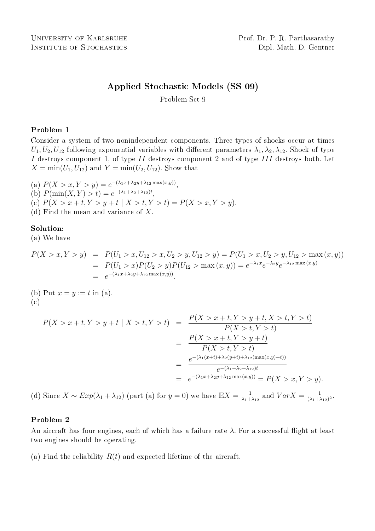# Applied Stochastic Models (SS 09)

Problem Set 9

## Problem 1

Consider a system of two nonindependent components. Three types of shocks occur at times  $U_1, U_2, U_{12}$  following exponential variables with different parameters  $\lambda_1, \lambda_2, \lambda_{12}$ . Shock of type I destroys component 1, of type II destroys component 2 and of type III destroys both. Let  $X = min(U_1, U_{12})$  and  $Y = min(U_2, U_{12})$ . Show that

- (a)  $P(X > x, Y > y) = e^{-(\lambda_1 x + \lambda_2 y + \lambda_{12} \max(x, y))},$
- (b)  $P(\min(X, Y) > t) = e^{-(\lambda_1 + \lambda_2 + \lambda_{12})t}$ ,
- (c)  $P(X > x + t, Y > y + t | X > t, Y > t) = P(X > x, Y > y).$
- (d) Find the mean and variance of X.

## Solution:

(a) We have

$$
P(X > x, Y > y) = P(U_1 > x, U_{12} > x, U_2 > y, U_{12} > y) = P(U_1 > x, U_2 > y, U_{12} > \max(x, y))
$$
  
= 
$$
P(U_1 > x)P(U_2 > y)P(U_{12} > \max(x, y)) = e^{-\lambda_1 x}e^{-\lambda_2 y}e^{-\lambda_{12} \max(x, y)}
$$
  
= 
$$
e^{-(\lambda_1 x + \lambda_2 y + \lambda_{12} \max(x, y))}.
$$

(b) Put  $x = y := t$  in (a). (c)

$$
P(X > x + t, Y > y + t | X > t, Y > t) = \frac{P(X > x + t, Y > y + t, X > t, Y > t)}{P(X > t, Y > t)}
$$
  
= 
$$
\frac{P(X > x + t, Y > y + t)}{P(X > t, Y > t)}
$$
  
= 
$$
\frac{e^{-(\lambda_1(x+t) + \lambda_2(y+t) + \lambda_{12}(\max(x,y)+t))}}{e^{-(\lambda_1 + \lambda_2 + \lambda_{12})t}}
$$
  
= 
$$
\frac{e^{-(\lambda_1 x + \lambda_2 y + \lambda_{12} \max(x,y))}}{P(X > x, Y > y)} = P(X > x, Y > y).
$$

(d) Since  $X \sim Exp(\lambda_1 + \lambda_{12})$  (part (a) for  $y = 0$ ) we have  $\mathbb{E}X = \frac{1}{\lambda_1 + \lambda_2}$  $\frac{1}{\lambda_1 + \lambda_{12}}$  and  $VarX = \frac{1}{(\lambda_1 + \lambda_2)}$  $\frac{1}{(\lambda_1+\lambda_{12})^2}$ .

## Problem 2

An aircraft has four engines, each of which has a failure rate  $\lambda$ . For a successful flight at least two engines should be operating.

(a) Find the reliability  $R(t)$  and expected lifetime of the aircraft.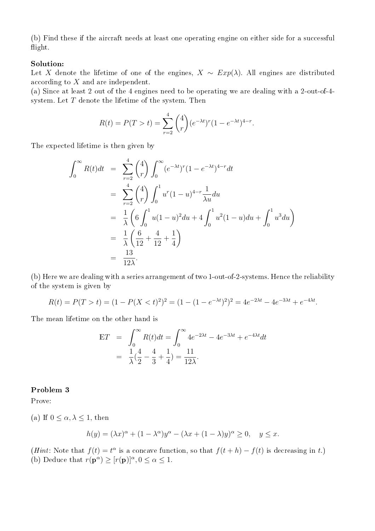(b) Find these if the aircraft needs at least one operating engine on either side for a successful flight.

#### Solution:

Let X denote the lifetime of one of the engines,  $X \sim Exp(\lambda)$ . All engines are distributed according to X and are independent.

(a) Since at least 2 out of the 4 engines need to be operating we are dealing with a 2-out-of-4 system. Let  $T$  denote the lifetime of the system. Then

$$
R(t) = P(T > t) = \sum_{r=2}^{4} {4 \choose r} (e^{-\lambda t})^r (1 - e^{-\lambda t})^{4-r}.
$$

The expected lifetime is then given by

$$
\int_0^\infty R(t)dt = \sum_{r=2}^4 {4 \choose r} \int_0^\infty (e^{-\lambda t})^r (1 - e^{-\lambda t})^{4-r} dt
$$
  
\n
$$
= \sum_{r=2}^4 {4 \choose r} \int_0^1 u^r (1 - u)^{4-r} \frac{1}{\lambda u} du
$$
  
\n
$$
= \frac{1}{\lambda} \left( 6 \int_0^1 u(1 - u)^2 du + 4 \int_0^1 u^2 (1 - u) du + \int_0^1 u^3 du \right)
$$
  
\n
$$
= \frac{1}{\lambda} \left( \frac{6}{12} + \frac{4}{12} + \frac{1}{4} \right)
$$
  
\n
$$
= \frac{13}{12\lambda}.
$$

(b) Here we are dealing with a series arrangement of two 1-out-of-2-systems. Hence the reliability of the system is given by

$$
R(t) = P(T > t) = (1 - P(X < t)^{2})^{2} = (1 - (1 - e^{-\lambda t})^{2})^{2} = 4e^{-2\lambda t} - 4e^{-3\lambda t} + e^{-4\lambda t}.
$$

The mean lifetime on the other hand is

$$
\begin{aligned} \mathbb{E}T &= \int_0^\infty R(t)dt = \int_0^\infty 4e^{-2\lambda t} - 4e^{-3\lambda t} + e^{-4\lambda t}dt \\ &= \frac{1}{\lambda}(\frac{4}{2} - \frac{4}{3} + \frac{1}{4}) = \frac{11}{12\lambda} .\end{aligned}
$$

### Problem 3

Prove:

(a) If  $0 \leq \alpha, \lambda \leq 1$ , then

$$
h(y) = (\lambda x)^{\alpha} + (1 - \lambda^{\alpha})y^{\alpha} - (\lambda x + (1 - \lambda)y)^{\alpha} \ge 0, \quad y \le x.
$$

(*Hint*: Note that  $f(t) = t^{\alpha}$  is a concave function, so that  $f(t+h) - f(t)$  is decreasing in t.) (b) Deduce that  $r(\mathbf{p}^{\alpha}) \geq [r(\mathbf{p})]^{\alpha}, 0 \leq \alpha \leq 1$ .